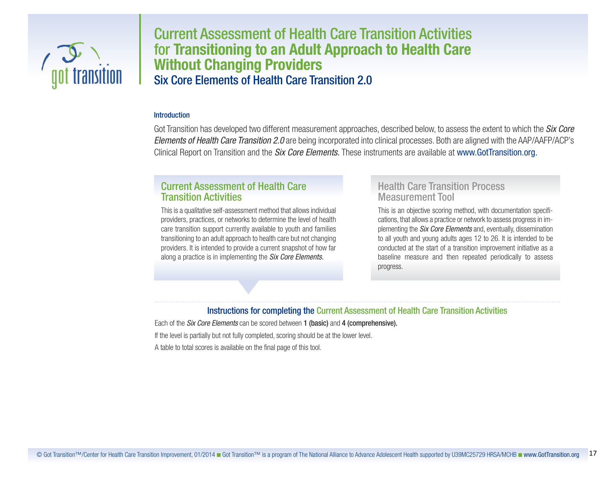

# Current Assessment of Health Care Transition Activities for **Transitioning to an Adult Approach to Health Care Without Changing Providers** Six Core Elements of Health Care Transition 2.0

#### **Introduction**

Got Transition has developed two different measurement approaches, described below, to assess the extent to which the *Six Core Elements of Health Care Transition 2.0* are being incorporated into clinical processes. Both are aligned with the AAP/AAFP/ACP's Clinical Report on Transition and the *Six Core Elements.* These instruments are available at www.GotTransition.org.

## Current Assessment of Health Care Transition Activities

This is a qualitative self-assessment method that allows individual providers, practices, or networks to determine the level of health care transition support currently available to youth and families transitioning to an adult approach to health care but not changing providers. It is intended to provide a current snapshot of how far along a practice is in implementing the *Six Core Elements.*

## Health Care Transition Process Measurement Tool

This is an objective scoring method, with documentation specifications, that allows a practice or network to assess progressin implementing the *Six Core Elements* and, eventually, dissemination to all youth and young adults ages 12 to 26. It is intended to be conducted at the start of a transition improvement initiative as a baseline measure and then repeated periodically to assess progress.

#### Instructions for completing the Current Assessment of Health Care Transition Activities

Each of the *Six Core Elements* can be scored between 1 (basic) and 4 (comprehensive). If the level is partially but not fully completed, scoring should be at the lower level. A table to total scores is available on the final page of this tool.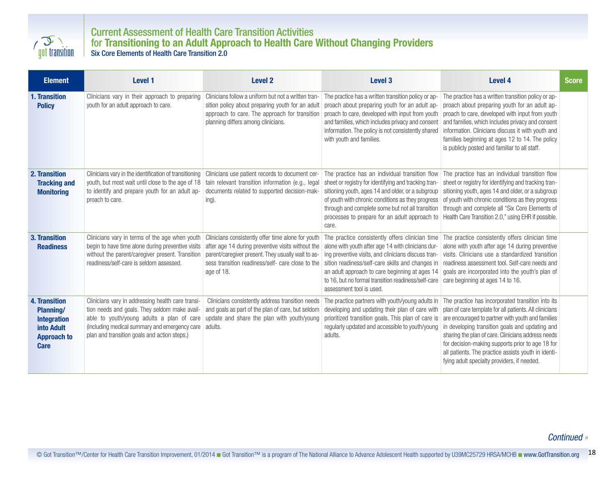

## Current Assessment of Health Care Transition Activities for **Transitioning to an Adult Approach to Health Care Without Changing Providers** Six Core Elements of Health Care Transition 2.0

| <b>Element</b>                                                                                                    | Level 1                                                                                                                                                                                                                                                  | <b>Level 2</b>                                                                                                                                                                                                                   | Level 3                                                                                                                                                                                                                                                                                                                                               | <b>Level 4</b>                                                                                                                                                                                                                                                                                                                                                                                                                      | <b>Score</b> |
|-------------------------------------------------------------------------------------------------------------------|----------------------------------------------------------------------------------------------------------------------------------------------------------------------------------------------------------------------------------------------------------|----------------------------------------------------------------------------------------------------------------------------------------------------------------------------------------------------------------------------------|-------------------------------------------------------------------------------------------------------------------------------------------------------------------------------------------------------------------------------------------------------------------------------------------------------------------------------------------------------|-------------------------------------------------------------------------------------------------------------------------------------------------------------------------------------------------------------------------------------------------------------------------------------------------------------------------------------------------------------------------------------------------------------------------------------|--------------|
| 1. Transition<br><b>Policy</b>                                                                                    | Clinicians vary in their approach to preparing<br>youth for an adult approach to care.                                                                                                                                                                   | Clinicians follow a uniform but not a written tran-<br>sition policy about preparing youth for an adult<br>approach to care. The approach for transition<br>planning differs among clinicians.                                   | The practice has a written transition policy or ap-<br>proach about preparing youth for an adult ap-<br>proach to care, developed with input from youth<br>and families, which includes privacy and consent<br>information. The policy is not consistently shared<br>with youth and families.                                                         | The practice has a written transition policy or ap-<br>proach about preparing youth for an adult ap-<br>proach to care, developed with input from youth<br>and families, which includes privacy and consent<br>information. Clinicians discuss it with youth and<br>families beginning at ages 12 to 14. The policy<br>is publicly posted and familiar to all staff.                                                                |              |
| <b>2. Transition</b><br><b>Tracking and</b><br><b>Monitoring</b>                                                  | Clinicians vary in the identification of transitioning<br>youth, but most wait until close to the age of 18<br>to identify and prepare youth for an adult ap-<br>proach to care.                                                                         | Clinicians use patient records to document cer-<br>tain relevant transition information (e.g., legal<br>documents related to supported decision-mak-<br>ing).                                                                    | The practice has an individual transition flow<br>sheet or registry for identifying and tracking tran-<br>sitioning youth, ages 14 and older, or a subgroup<br>of youth with chronic conditions as they progress<br>through and complete some but not all transition<br>processes to prepare for an adult approach to<br>care.                        | The practice has an individual transition flow<br>sheet or registry for identifying and tracking tran-<br>sitioning youth, ages 14 and older, or a subgroup<br>of youth with chronic conditions as they progress<br>through and complete all "Six Core Elements of<br>Health Care Transition 2.0," using EHR if possible.                                                                                                           |              |
| 3. Transition<br><b>Readiness</b>                                                                                 | Clinicians vary in terms of the age when youth<br>begin to have time alone during preventive visits<br>without the parent/caregiver present. Transition<br>readiness/self-care is seldom assessed.                                                       | Clinicians consistently offer time alone for youth<br>after age 14 during preventive visits without the<br>parent/caregiver present. They usually wait to as-<br>sess transition readiness/self- care close to the<br>age of 18. | The practice consistently offers clinician time<br>alone with youth after age 14 with clinicians dur-<br>ing preventive visits, and clinicians discuss tran-<br>sition readiness/self-care skills and changes in<br>an adult approach to care beginning at ages 14<br>to 16, but no formal transition readiness/self-care<br>assessment tool is used. | The practice consistently offers clinician time<br>alone with youth after age 14 during preventive<br>visits. Clinicians use a standardized transition<br>readiness assessment tool. Self-care needs and<br>goals are incorporated into the youth's plan of<br>care beginning at ages 14 to 16.                                                                                                                                     |              |
| <b>4. Transition</b><br><b>Planning/</b><br><b>Integration</b><br>into Adult<br><b>Approach to</b><br><b>Care</b> | Clinicians vary in addressing health care transi-<br>tion needs and goals. They seldom make avail-<br>able to youth/young adults a plan of care<br>(including medical summary and emergency care adults.<br>plan and transition goals and action steps.) | Clinicians consistently address transition needs<br>and goals as part of the plan of care, but seldom<br>update and share the plan with youth/young                                                                              | The practice partners with youth/young adults in<br>developing and updating their plan of care with<br>prioritized transition goals. This plan of care is<br>regularly updated and accessible to youth/young<br>adults.                                                                                                                               | The practice has incorporated transition into its<br>plan of care template for all patients. All clinicians<br>are encouraged to partner with youth and families<br>in developing transition goals and updating and<br>sharing the plan of care. Clinicians address needs<br>for decision-making supports prior to age 18 for<br>all patients. The practice assists youth in identi-<br>fying adult specialty providers, if needed. |              |